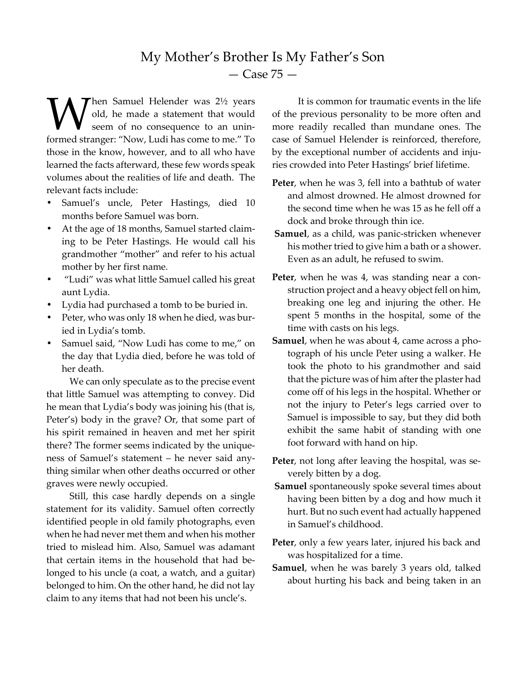## My Mother's Brother Is My Father's Son — Case 75 —

hen Samuel Helender was 2½ years old, he made a statement that would seem of no consequence to an unin-**M** hen Samuel Helender was 2½ years<br>seem of no consequence to an unin-<br>formed stranger: "Now, Ludi has come to me." To those in the know, however, and to all who have learned the facts afterward, these few words speak volumes about the realities of life and death. The relevant facts include:

- Samuel's uncle, Peter Hastings, died 10 months before Samuel was born.
- At the age of 18 months, Samuel started claiming to be Peter Hastings. He would call his grandmother "mother" and refer to his actual mother by her first name.
- "Ludi" was what little Samuel called his great aunt Lydia.
- Lydia had purchased a tomb to be buried in.
- Peter, who was only 18 when he died, was buried in Lydia's tomb.
- Samuel said, "Now Ludi has come to me," on the day that Lydia died, before he was told of her death.

We can only speculate as to the precise event that little Samuel was attempting to convey. Did he mean that Lydia's body was joining his (that is, Peter's) body in the grave? Or, that some part of his spirit remained in heaven and met her spirit there? The former seems indicated by the uniqueness of Samuel's statement – he never said anything similar when other deaths occurred or other graves were newly occupied.

Still, this case hardly depends on a single statement for its validity. Samuel often correctly identified people in old family photographs, even when he had never met them and when his mother tried to mislead him. Also, Samuel was adamant that certain items in the household that had belonged to his uncle (a coat, a watch, and a guitar) belonged to him. On the other hand, he did not lay claim to any items that had not been his uncle's.

 It is common for traumatic events in the life of the previous personality to be more often and more readily recalled than mundane ones. The case of Samuel Helender is reinforced, therefore, by the exceptional number of accidents and injuries crowded into Peter Hastings' brief lifetime.

- **Peter**, when he was 3, fell into a bathtub of water and almost drowned. He almost drowned for the second time when he was 15 as he fell off a dock and broke through thin ice.
- **Samuel**, as a child, was panic-stricken whenever his mother tried to give him a bath or a shower. Even as an adult, he refused to swim.
- Peter, when he was 4, was standing near a construction project and a heavy object fell on him, breaking one leg and injuring the other. He spent 5 months in the hospital, some of the time with casts on his legs.
- **Samuel**, when he was about 4, came across a photograph of his uncle Peter using a walker. He took the photo to his grandmother and said that the picture was of him after the plaster had come off of his legs in the hospital. Whether or not the injury to Peter's legs carried over to Samuel is impossible to say, but they did both exhibit the same habit of standing with one foot forward with hand on hip.
- **Peter**, not long after leaving the hospital, was severely bitten by a dog.
- **Samuel** spontaneously spoke several times about having been bitten by a dog and how much it hurt. But no such event had actually happened in Samuel's childhood.
- **Peter**, only a few years later, injured his back and was hospitalized for a time.
- **Samuel**, when he was barely 3 years old, talked about hurting his back and being taken in an